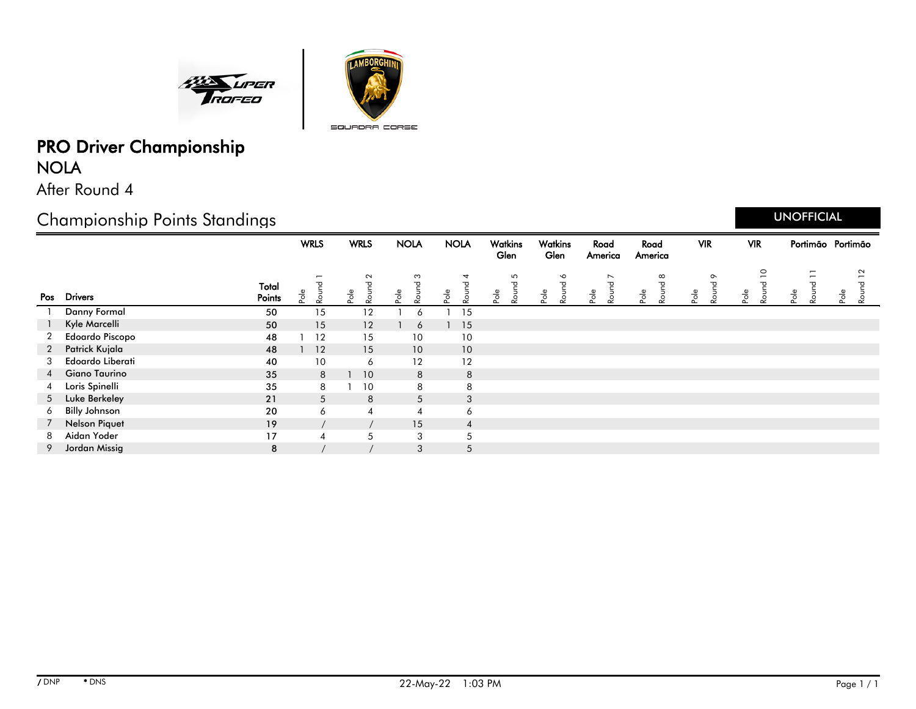



# PRO Driver Championship NOLA

After Round 4

## Championship Points Standings

|   |                        |                 |      | <b>WRLS</b> |         | <b>WRLS</b>          | <b>NOLA</b> |                               |         | <b>NOLA</b>    |      | Watkins<br>Glen                  |      | Watkins<br>Glen    |         | Road<br>America         | Road<br>America |                                      |      | <b>VIR</b>                          | <b>VIR</b> |                             |      |                                                                    | Portimão Portimão |              |
|---|------------------------|-----------------|------|-------------|---------|----------------------|-------------|-------------------------------|---------|----------------|------|----------------------------------|------|--------------------|---------|-------------------------|-----------------|--------------------------------------|------|-------------------------------------|------------|-----------------------------|------|--------------------------------------------------------------------|-------------------|--------------|
|   | Pos Drivers            | Total<br>Points | Pole | Round       | $P$ ole | $\sim$<br>᠊ᠣ<br>Roun | $P$ o $ e$  | S<br>$\mathbf \sigma$<br>Roun | $P$ ole | 4<br>Round     | Pole | 5<br>$\overline{\sigma}$<br>Roun | Pole | $\bullet$<br>Round | $P$ ole | $\overline{ }$<br>Round | $P$ ole         | $\infty$<br>$\mathbf \sigma$<br>Roun | Pole | $\circ$<br>$\mathbf \sigma$<br>Roun | Pole       | $\overline{C}$<br>ᅮ<br>Roun | Pole | $\overline{\phantom{0}}$<br>$\overline{\phantom{0}}$<br>᠊ᠣ<br>Roun | Pole              | $\sim$<br>వి |
|   | <b>Danny Formal</b>    | 50              |      | 15          |         | 12                   |             | Ô                             |         | 15             |      |                                  |      |                    |         |                         |                 |                                      |      |                                     |            |                             |      |                                                                    |                   |              |
|   | Kyle Marcelli          | 50              |      | 15          |         | 12                   |             | 6                             |         | 15             |      |                                  |      |                    |         |                         |                 |                                      |      |                                     |            |                             |      |                                                                    |                   |              |
|   | <b>Edoardo Piscopo</b> | 48              |      | 12          |         | 15                   |             | 10                            |         | 10             |      |                                  |      |                    |         |                         |                 |                                      |      |                                     |            |                             |      |                                                                    |                   |              |
| 2 | Patrick Kujala         | 48              |      | 12          |         | 15                   |             | 10                            |         | 10             |      |                                  |      |                    |         |                         |                 |                                      |      |                                     |            |                             |      |                                                                    |                   |              |
| 3 | Edoardo Liberati       | 40              |      | 10          |         | 6                    |             | 12                            |         | 12             |      |                                  |      |                    |         |                         |                 |                                      |      |                                     |            |                             |      |                                                                    |                   |              |
| 4 | <b>Giano Taurino</b>   | 35              |      | 8           |         | 10                   |             | 8                             |         | 8              |      |                                  |      |                    |         |                         |                 |                                      |      |                                     |            |                             |      |                                                                    |                   |              |
| 4 | Loris Spinelli         | 35              |      | 8           |         | 10                   |             | 8                             |         | 8              |      |                                  |      |                    |         |                         |                 |                                      |      |                                     |            |                             |      |                                                                    |                   |              |
| 5 | Luke Berkeley          | 21              |      | 5           |         | 8                    |             | 5                             |         | 3              |      |                                  |      |                    |         |                         |                 |                                      |      |                                     |            |                             |      |                                                                    |                   |              |
| 6 | <b>Billy Johnson</b>   | 20              |      | 6           |         | 4                    |             | 4                             |         | 6              |      |                                  |      |                    |         |                         |                 |                                      |      |                                     |            |                             |      |                                                                    |                   |              |
|   | <b>Nelson Piquet</b>   | 19              |      |             |         |                      |             | 15                            |         | $\overline{4}$ |      |                                  |      |                    |         |                         |                 |                                      |      |                                     |            |                             |      |                                                                    |                   |              |
| 8 | Aidan Yoder            | 17              |      |             |         | 5                    |             | 3                             |         | 5              |      |                                  |      |                    |         |                         |                 |                                      |      |                                     |            |                             |      |                                                                    |                   |              |
| 9 | Jordan Missig          | 8               |      |             |         |                      |             | 3                             |         | 5              |      |                                  |      |                    |         |                         |                 |                                      |      |                                     |            |                             |      |                                                                    |                   |              |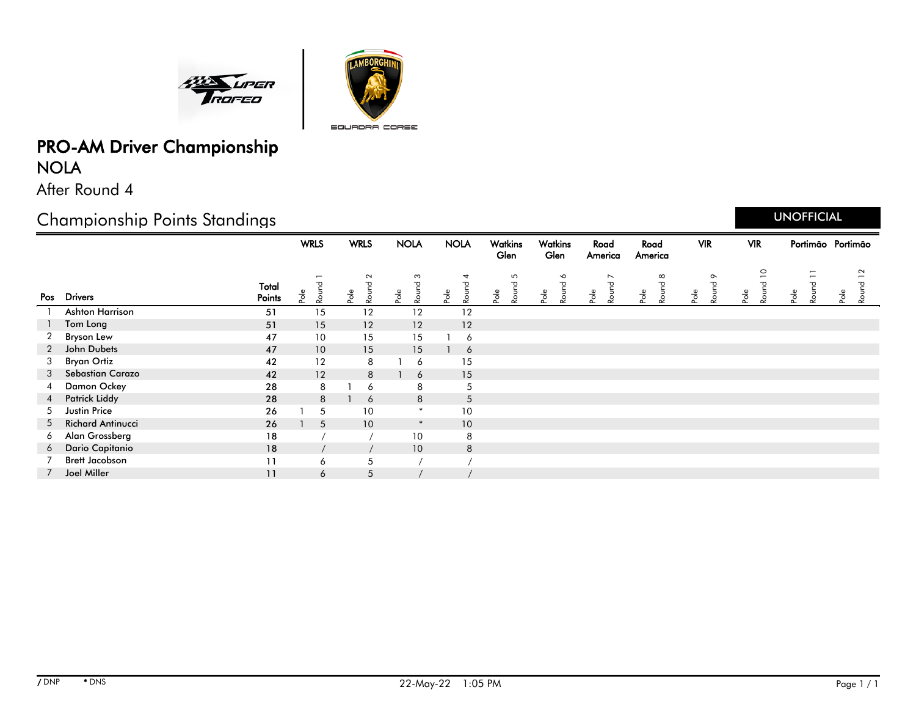



## PRO-AM Driver Championship NOLA

After Round 4

## Championship Points Standings

|                 |                          |                 | <b>WRLS</b>      | <b>WRLS</b>                                    | <b>NOLA</b>        | <b>NOLA</b>                  | Watkins<br>Glen    | Watkins<br>Glen    | Road<br>America                           | Road<br>America           | <b>VIR</b>                   | <b>VIR</b>              | Portimão Portimão       |                                                |
|-----------------|--------------------------|-----------------|------------------|------------------------------------------------|--------------------|------------------------------|--------------------|--------------------|-------------------------------------------|---------------------------|------------------------------|-------------------------|-------------------------|------------------------------------------------|
|                 | Pos Drivers              | Total<br>Points | Round<br>$P$ ole | $\sim$<br>$\mathbf \sigma$<br>Roune<br>$P$ ole | S<br>Round<br>Pole | 4<br>Round<br>P <sub>o</sub> | 5<br>Round<br>Pole | Round 6<br>$Po$ le | $\overline{\phantom{0}}$<br>Round<br>Pole | $\infty$<br>Round<br>Pole | $\circ$<br>თ<br>Roun<br>Pole | $\circ$<br>Roun<br>Pole | Ξ<br>᠊ᠣ<br>Roun<br>Pole | $\sim$<br>$\overline{ }$<br>᠊ᠣ<br>Roun<br>Pole |
|                 | <b>Ashton Harrison</b>   | 51              | 15               | 12                                             | 12                 | 12                           |                    |                    |                                           |                           |                              |                         |                         |                                                |
|                 | Tom Long                 | 51              | 15               | 12                                             | 12                 | 12                           |                    |                    |                                           |                           |                              |                         |                         |                                                |
| 2               | <b>Bryson Lew</b>        | 47              | 10               | 15                                             | 15                 | 6                            |                    |                    |                                           |                           |                              |                         |                         |                                                |
| 2               | John Dubets              | 47              | 10               | 15                                             | 15                 | 6                            |                    |                    |                                           |                           |                              |                         |                         |                                                |
| 3               | Bryan Ortiz              | 42              | 12               | 8                                              | 6                  | 15                           |                    |                    |                                           |                           |                              |                         |                         |                                                |
| 3               | <b>Sebastian Carazo</b>  | 42              | 12               | 8                                              | 6                  | 15                           |                    |                    |                                           |                           |                              |                         |                         |                                                |
| 4               | Damon Ockey              | 28              | 8                | 6                                              | 8                  | 5                            |                    |                    |                                           |                           |                              |                         |                         |                                                |
| $4\overline{ }$ | <b>Patrick Liddy</b>     | 28              | 8                | 6                                              | 8                  | 5                            |                    |                    |                                           |                           |                              |                         |                         |                                                |
| 5               | <b>Justin Price</b>      | 26              | 5                | 10                                             | $\ast$             | 10                           |                    |                    |                                           |                           |                              |                         |                         |                                                |
| 5               | <b>Richard Antinucci</b> | 26              | 5                | 10                                             | $\ast$             | 10 <sup>°</sup>              |                    |                    |                                           |                           |                              |                         |                         |                                                |
| 6               | Alan Grossberg           | 18              |                  |                                                | 10                 | 8                            |                    |                    |                                           |                           |                              |                         |                         |                                                |
| 6               | Dario Capitanio          | 18              |                  |                                                | 10                 | 8                            |                    |                    |                                           |                           |                              |                         |                         |                                                |
|                 | <b>Brett Jacobson</b>    | 11              | 6                | 5                                              |                    |                              |                    |                    |                                           |                           |                              |                         |                         |                                                |
| $7^{\circ}$     | Joel Miller              | 11              | 6                | 5                                              |                    |                              |                    |                    |                                           |                           |                              |                         |                         |                                                |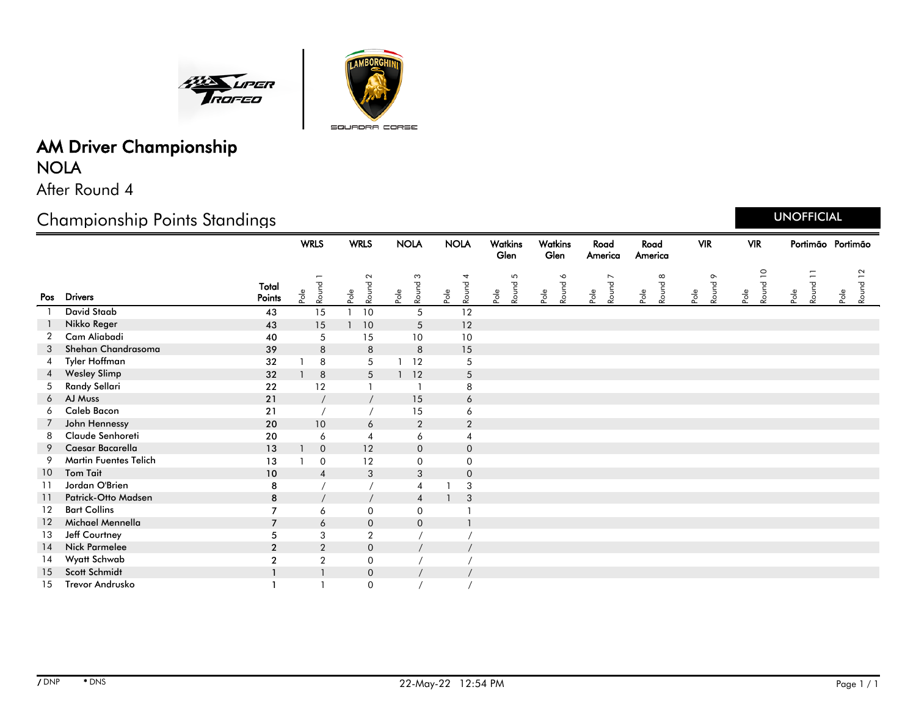



# AM Driver Championship NOLA

After Round 4

## Championship Points Standings

|                 |                        |                 | <b>WRLS</b> |                  | <b>WRLS</b>                      | <b>NOLA</b>                            | <b>NOLA</b>                             | Watkins<br>Glen    | Watkins<br>Glen            | Road<br>America                 | Road<br>America    | <b>VIR</b>               | <b>VIR</b>                                | Portimão Portimão |                  |
|-----------------|------------------------|-----------------|-------------|------------------|----------------------------------|----------------------------------------|-----------------------------------------|--------------------|----------------------------|---------------------------------|--------------------|--------------------------|-------------------------------------------|-------------------|------------------|
| Pos             | <b>Drivers</b>         | Total<br>Points | Pole        | Round            | $\sim$<br>Round<br>$\frac{1}{2}$ | $\boldsymbol{\omega}$<br>Round<br>Pole | 4<br>Round<br>$\mathsf{Po}^\mathsf{le}$ | 5<br>Round<br>Pole | $\bullet$<br>Round<br>Pole | $\overline{ }$<br>Round<br>Pole | Round 8<br>$Po$ le | $\circ$<br>Round<br>Pole | $\overline{\phantom{0}}$<br>Round<br>Pole | Round 11<br>Pole  | Round 12<br>Pole |
|                 | <b>David Staab</b>     | 43              |             | 15               | 10                               | 5                                      | 12                                      |                    |                            |                                 |                    |                          |                                           |                   |                  |
|                 | Nikko Reger            | 43              |             | 15               | 10                               | 5                                      | 12                                      |                    |                            |                                 |                    |                          |                                           |                   |                  |
| 2               | Cam Aliabadi           | 40              |             | 5                | 15                               | 10                                     | 10                                      |                    |                            |                                 |                    |                          |                                           |                   |                  |
| 3               | Shehan Chandrasoma     | 39              |             | 8                | 8                                | 8                                      | 15                                      |                    |                            |                                 |                    |                          |                                           |                   |                  |
| 4               | Tyler Hoffman          | 32              |             | 8                | 5                                | 12                                     | 5                                       |                    |                            |                                 |                    |                          |                                           |                   |                  |
|                 | <b>Wesley Slimp</b>    | 32              |             | 8                | 5                                | 12                                     | $5\phantom{.0}$                         |                    |                            |                                 |                    |                          |                                           |                   |                  |
| 5               | Randy Sellari          | 22              |             | 12               |                                  |                                        | 8                                       |                    |                            |                                 |                    |                          |                                           |                   |                  |
| 6               | AJ Muss                | 21              |             |                  |                                  | 15                                     | 6                                       |                    |                            |                                 |                    |                          |                                           |                   |                  |
| 6               | <b>Caleb Bacon</b>     | 21              |             |                  |                                  | 15                                     | 6                                       |                    |                            |                                 |                    |                          |                                           |                   |                  |
| 7               | John Hennessy          | 20              |             | 10               | 6                                | $\sqrt{2}$                             | $\overline{2}$                          |                    |                            |                                 |                    |                          |                                           |                   |                  |
| 8               | Claude Senhoreti       | 20              |             | 6                | $\overline{4}$                   | 6                                      | 4                                       |                    |                            |                                 |                    |                          |                                           |                   |                  |
| 9               | Caesar Bacarella       | 13              |             | $\overline{0}$   | 12                               | $\mathbf 0$                            | $\overline{0}$                          |                    |                            |                                 |                    |                          |                                           |                   |                  |
| 9               | Martin Fuentes Telich  | 13              |             | $\mathbf 0$      | 12                               | $\mathbf 0$                            | $\mathbf 0$                             |                    |                            |                                 |                    |                          |                                           |                   |                  |
| 10 <sup>°</sup> | <b>Tom Tail</b>        | 10              |             | $\overline{4}$   | 3                                | 3                                      | $\overline{0}$                          |                    |                            |                                 |                    |                          |                                           |                   |                  |
| 11              | Jordan O'Brien         | 8               |             |                  |                                  | 4                                      | $\sqrt{3}$                              |                    |                            |                                 |                    |                          |                                           |                   |                  |
| 11              | Patrick-Otto Madsen    | 8               |             |                  |                                  | $\overline{4}$                         | 3                                       |                    |                            |                                 |                    |                          |                                           |                   |                  |
| 12              | <b>Bart Collins</b>    | $\overline{7}$  |             | 6                | $\mathbf 0$                      | $\mathbf 0$                            |                                         |                    |                            |                                 |                    |                          |                                           |                   |                  |
| 12              | Michael Mennella       | $\overline{7}$  |             | 6                | $\mathbf 0$                      | $\mathbf 0$                            | $\mathbf{1}$                            |                    |                            |                                 |                    |                          |                                           |                   |                  |
| 13              | Jeff Courtney          | 5               |             | 3                | $\boldsymbol{2}$                 |                                        |                                         |                    |                            |                                 |                    |                          |                                           |                   |                  |
| 14              | <b>Nick Parmelee</b>   | $\overline{2}$  |             | $\overline{2}$   | $\mathbf 0$                      |                                        |                                         |                    |                            |                                 |                    |                          |                                           |                   |                  |
| 14              | Wyatt Schwab           | $\overline{2}$  |             | $\boldsymbol{2}$ | $\mathbf 0$                      |                                        |                                         |                    |                            |                                 |                    |                          |                                           |                   |                  |
| 15              | Scott Schmidt          | $\mathbf{1}$    |             |                  | $\mathbf 0$                      |                                        |                                         |                    |                            |                                 |                    |                          |                                           |                   |                  |
| 15              | <b>Trevor Andrusko</b> |                 |             |                  | $\mathbf 0$                      |                                        |                                         |                    |                            |                                 |                    |                          |                                           |                   |                  |